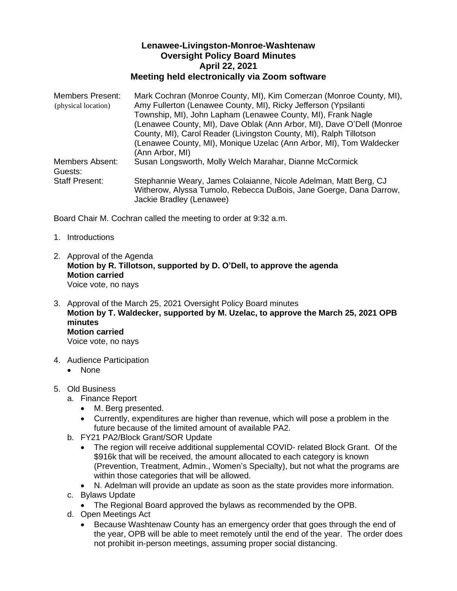## **Lenawee-Livingston-Monroe-Washtenaw Oversight Policy Board Minutes April 22, 2021 Meeting held electronically via Zoom software**

| Members Present:       | Mark Cochran (Monroe County, MI), Kim Comerzan (Monroe County, MI),   |
|------------------------|-----------------------------------------------------------------------|
| (physical location)    | Amy Fullerton (Lenawee County, MI), Ricky Jefferson (Ypsilanti        |
|                        | Township, MI), John Lapham (Lenawee County, MI), Frank Nagle          |
|                        | (Lenawee County, MI), Dave Oblak (Ann Arbor, MI), Dave O'Dell (Monroe |
|                        | County, MI), Carol Reader (Livingston County, MI), Ralph Tillotson    |
|                        | (Lenawee County, MI), Monique Uzelac (Ann Arbor, MI), Tom Waldecker   |
|                        | (Ann Arbor, MI)                                                       |
| <b>Members Absent:</b> | Susan Longsworth, Molly Welch Marahar, Dianne McCormick               |
| Guests:                |                                                                       |
| <b>Staff Present:</b>  | Stephannie Weary, James Colaianne, Nicole Adelman, Matt Berg, CJ      |
|                        | Witherow, Alyssa Tumolo, Rebecca DuBois, Jane Goerge, Dana Darrow,    |
|                        | Jackie Bradley (Lenawee)                                              |

Board Chair M. Cochran called the meeting to order at 9:32 a.m.

- 1. Introductions
- 2. Approval of the Agenda **Motion by R. Tillotson, supported by D. O'Dell, to approve the agenda Motion carried** Voice vote, no nays
- 3. Approval of the March 25, 2021 Oversight Policy Board minutes **Motion by T. Waldecker, supported by M. Uzelac, to approve the March 25, 2021 OPB minutes Motion carried** Voice vote, no nays
- 4. Audience Participation
	- None
- 5. Old Business
	- a. Finance Report
		- M. Berg presented.
		- Currently, expenditures are higher than revenue, which will pose a problem in the future because of the limited amount of available PA2.
	- b. FY21 PA2/Block Grant/SOR Update
		- The region will receive additional supplemental COVID- related Block Grant. Of the \$916k that will be received, the amount allocated to each category is known (Prevention, Treatment, Admin., Women's Specialty), but not what the programs are within those categories that will be allowed.
		- N. Adelman will provide an update as soon as the state provides more information.
	- c. Bylaws Update
		- The Regional Board approved the bylaws as recommended by the OPB.
	- d. Open Meetings Act
		- Because Washtenaw County has an emergency order that goes through the end of the year, OPB will be able to meet remotely until the end of the year. The order does not prohibit in-person meetings, assuming proper social distancing.